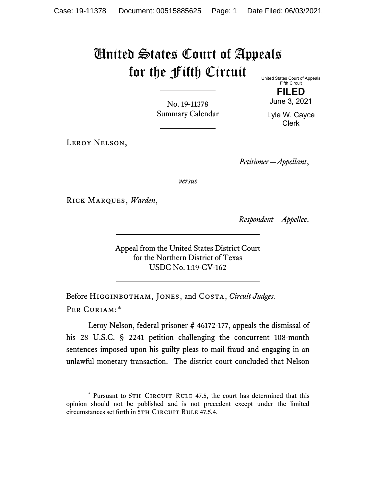## United States Court of Appeals for the Fifth Circuit

United States Court of Appeals Fifth Circuit

> **FILED** June 3, 2021

No. 19-11378 Summary Calendar

Lyle W. Cayce Clerk

Leroy Nelson,

*Petitioner—Appellant*,

*versus*

Rick Marques, *Warden*,

*Respondent—Appellee*.

Appeal from the United States District Court for the Northern District of Texas USDC No. 1:19-CV-162

Before Higginbotham, Jones, and Costa, *Circuit Judges*. Per Curiam:[\\*](#page-0-0)

Leroy Nelson, federal prisoner # 46172-177, appeals the dismissal of his 28 U.S.C. § 2241 petition challenging the concurrent 108-month sentences imposed upon his guilty pleas to mail fraud and engaging in an unlawful monetary transaction. The district court concluded that Nelson

<span id="page-0-0"></span><sup>\*</sup> Pursuant to 5TH CIRCUIT RULE 47.5, the court has determined that this opinion should not be published and is not precedent except under the limited circumstances set forth in 5TH CIRCUIT RULE 47.5.4.